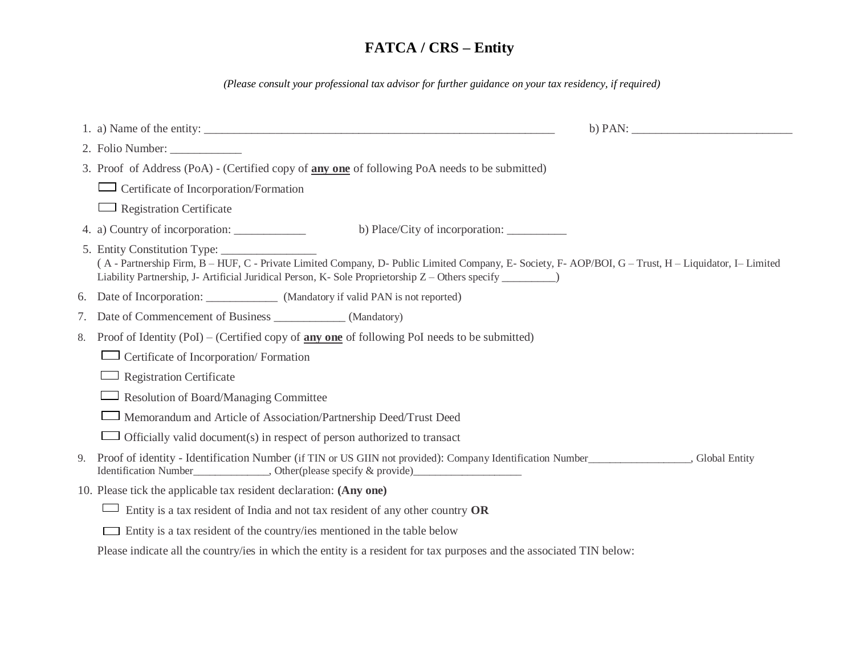*(Please consult your professional tax advisor for further guidance on your tax residency, if required)*

|    | $\mathbf b$ ) PAN:<br>1. a) Name of the entity: $\frac{1}{\sqrt{2}}$                                                                                                                                                                                                                     |
|----|------------------------------------------------------------------------------------------------------------------------------------------------------------------------------------------------------------------------------------------------------------------------------------------|
|    | 2. Folio Number:                                                                                                                                                                                                                                                                         |
|    | 3. Proof of Address (PoA) - (Certified copy of any one of following PoA needs to be submitted)                                                                                                                                                                                           |
|    | Certificate of Incorporation/Formation                                                                                                                                                                                                                                                   |
|    | <b>Registration Certificate</b>                                                                                                                                                                                                                                                          |
|    | b) Place/City of incorporation:                                                                                                                                                                                                                                                          |
|    | 5. Entity Constitution Type:<br>(A - Partnership Firm, B - HUF, C - Private Limited Company, D- Public Limited Company, E- Society, F- AOP/BOI, G - Trust, H - Liquidator, I-Limited<br>Liability Partnership, J- Artificial Juridical Person, K- Sole Proprietorship Z – Others specify |
| 6. |                                                                                                                                                                                                                                                                                          |
| 7. | Date of Commencement of Business _______________ (Mandatory)                                                                                                                                                                                                                             |
| 8. | Proof of Identity (PoI) – (Certified copy of $\frac{any \ one}$ of following PoI needs to be submitted)                                                                                                                                                                                  |
|    | Certificate of Incorporation/Formation                                                                                                                                                                                                                                                   |
|    | <b>Registration Certificate</b>                                                                                                                                                                                                                                                          |
|    | Resolution of Board/Managing Committee                                                                                                                                                                                                                                                   |
|    | Memorandum and Article of Association/Partnership Deed/Trust Deed                                                                                                                                                                                                                        |
|    | Officially valid document(s) in respect of person authorized to transact                                                                                                                                                                                                                 |
| 9. | Proof of identity - Identification Number (if TIN or US GIIN not provided): Company Identification Number (if TIN or US GIIN not provided): Company Identification Number (if TIN or US GIIN not provided): Company Identifica                                                           |
|    | 10. Please tick the applicable tax resident declaration: (Any one)                                                                                                                                                                                                                       |
|    | Entity is a tax resident of India and not tax resident of any other country OR                                                                                                                                                                                                           |
|    | Entity is a tax resident of the country/ies mentioned in the table below                                                                                                                                                                                                                 |

Please indicate all the country/ies in which the entity is a resident for tax purposes and the associated TIN below: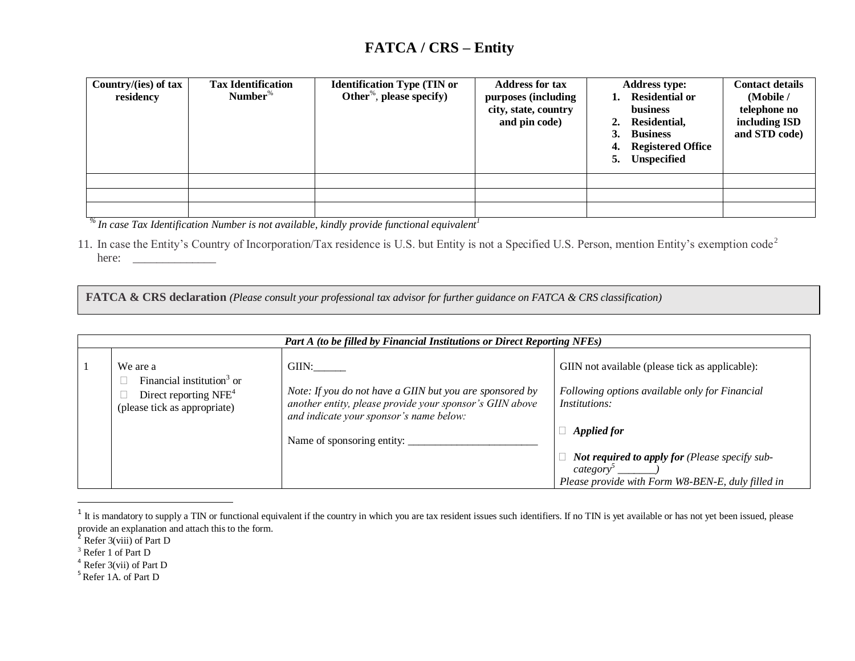| Country/(ies) of tax<br>residency | <b>Tax Identification</b><br>Number $\%$ | <b>Identification Type (TIN or</b><br>Other <sup>%</sup> , please specify) | <b>Address for tax</b><br>purposes (including<br>city, state, country<br>and pin code) | <b>Address type:</b><br><b>Residential or</b><br>business<br>Residential,<br>2.<br>3.<br><b>Business</b><br>4. Registered Office<br>Unspecified<br>5. | <b>Contact details</b><br>(Mobile /<br>telephone no<br>including ISD<br>and STD code) |
|-----------------------------------|------------------------------------------|----------------------------------------------------------------------------|----------------------------------------------------------------------------------------|-------------------------------------------------------------------------------------------------------------------------------------------------------|---------------------------------------------------------------------------------------|
|                                   |                                          |                                                                            |                                                                                        |                                                                                                                                                       |                                                                                       |
|                                   |                                          |                                                                            |                                                                                        |                                                                                                                                                       |                                                                                       |
|                                   |                                          |                                                                            |                                                                                        |                                                                                                                                                       |                                                                                       |

*% In case Tax Identification Number is not available, kindly provide functional equivalent<sup>1</sup>*

11. In case the Entity's Country of Incorporation/Tax residence is U.S. but Entity is not a Specified U.S. Person, mention Entity's exemption code<sup>2</sup> here: \_\_\_\_\_\_\_\_\_\_\_\_\_\_

**FATCA & CRS declaration** *(Please consult your professional tax advisor for further guidance on FATCA & CRS classification)*

| Part A (to be filled by Financial Institutions or Direct Reporting NFEs)                                                                                                                       |  |  |  |  |  |
|------------------------------------------------------------------------------------------------------------------------------------------------------------------------------------------------|--|--|--|--|--|
| GIIN not available (please tick as applicable):                                                                                                                                                |  |  |  |  |  |
| Note: If you do not have a GIIN but you are sponsored by<br>Following options available only for Financial<br>another entity, please provide your sponsor's GIIN above<br><i>Institutions:</i> |  |  |  |  |  |
| <b>Applied for</b>                                                                                                                                                                             |  |  |  |  |  |
| Not required to apply for (Please specify sub-<br>category<br>Please provide with Form W8-BEN-E, duly filled in                                                                                |  |  |  |  |  |
|                                                                                                                                                                                                |  |  |  |  |  |

 $1$  It is mandatory to supply a TIN or functional equivalent if the country in which you are tax resident issues such identifiers. If no TIN is yet available or has not yet been issued, please provide an explanation and attach this to the form.

 $\overline{a}$ 

 $2$  Refer 3(viii) of Part D

<sup>&</sup>lt;sup>3</sup> Refer 1 of Part D

 $4$  Refer 3(vii) of Part D

<sup>&</sup>lt;sup>5</sup> Refer 1A. of Part D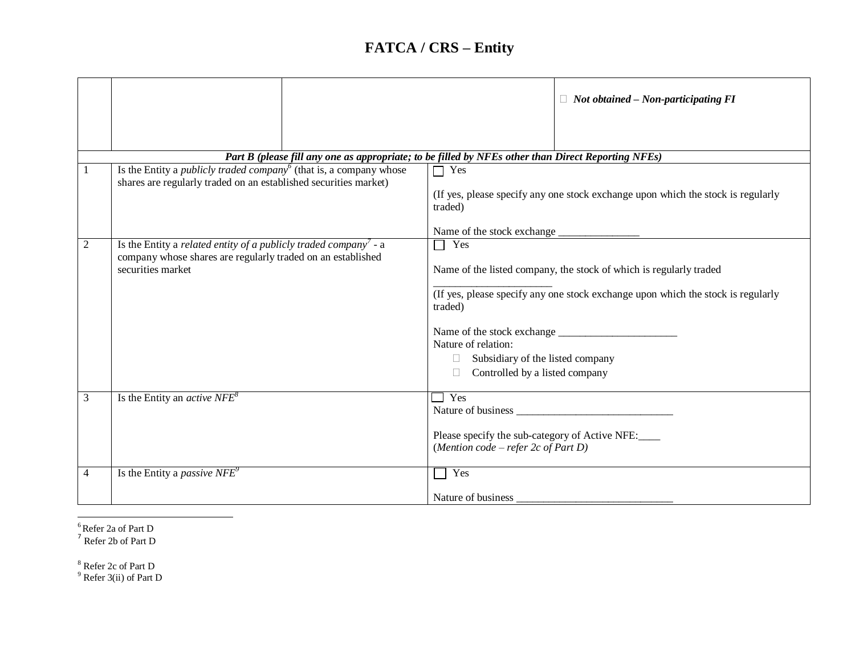|                |                                                                                                                                                                            | $\Box$ Not obtained – Non-participating FI                                                         |
|----------------|----------------------------------------------------------------------------------------------------------------------------------------------------------------------------|----------------------------------------------------------------------------------------------------|
|                |                                                                                                                                                                            |                                                                                                    |
|                |                                                                                                                                                                            | Part B (please fill any one as appropriate; to be filled by NFEs other than Direct Reporting NFEs) |
|                | Is the Entity a <i>publicly traded company</i> <sup><math>6</math></sup> (that is, a company whose<br>shares are regularly traded on an established securities market)     | $\Box$ Yes<br>(If yes, please specify any one stock exchange upon which the stock is regularly     |
|                |                                                                                                                                                                            | traded)<br>Name of the stock exchange                                                              |
| $\overline{2}$ | Is the Entity a <i>related entity of a publicly traded company</i> $\overline{\ }$ - a<br>company whose shares are regularly traded on an established<br>securities market | $\Box$ Yes<br>Name of the listed company, the stock of which is regularly traded                   |
|                |                                                                                                                                                                            | (If yes, please specify any one stock exchange upon which the stock is regularly<br>traded)        |
|                |                                                                                                                                                                            | Nature of relation:                                                                                |
|                |                                                                                                                                                                            | Subsidiary of the listed company                                                                   |
|                |                                                                                                                                                                            | Controlled by a listed company                                                                     |
| 3              | Is the Entity an <i>active NFE</i> <sup>8</sup>                                                                                                                            | $\Box$ Yes                                                                                         |
|                |                                                                                                                                                                            | Please specify the sub-category of Active NFE:<br>(Mention code – refer $2c$ of Part D)            |
| $\overline{4}$ | Is the Entity a <i>passive NFE</i> <sup>9</sup>                                                                                                                            | Yes<br>$\mathcal{L}$                                                                               |
|                |                                                                                                                                                                            | Nature of business                                                                                 |

 $\overline{\phantom{a}}$ 

<sup>6</sup> Refer 2a of Part D<br><sup>7</sup> Refer 2b of Part D

<sup>8</sup> Refer 2c of Part D

 $9$  Refer 3(ii) of Part D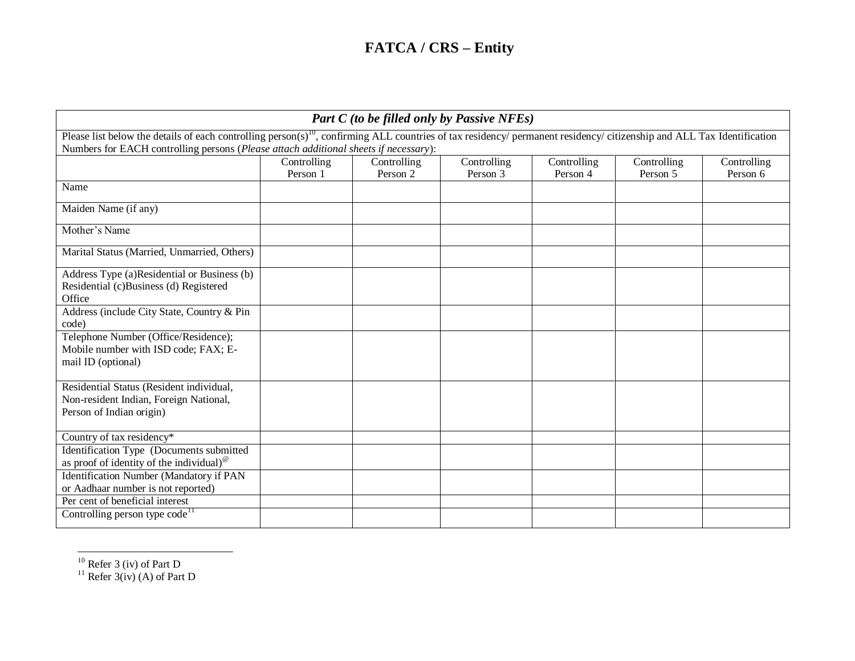|                                                                                                                |                                                                                                                                                                                                                                                                            |                         | <b>Part C</b> (to be filled only by Passive NFEs) |                         |                         |                         |
|----------------------------------------------------------------------------------------------------------------|----------------------------------------------------------------------------------------------------------------------------------------------------------------------------------------------------------------------------------------------------------------------------|-------------------------|---------------------------------------------------|-------------------------|-------------------------|-------------------------|
|                                                                                                                | Please list below the details of each controlling person(s) <sup>10</sup> , confirming ALL countries of tax residency/ permanent residency/ citizenship and ALL Tax Identification<br>Numbers for EACH controlling persons (Please attach additional sheets if necessary): |                         |                                                   |                         |                         |                         |
|                                                                                                                | Controlling<br>Person 1                                                                                                                                                                                                                                                    | Controlling<br>Person 2 | Controlling<br>Person 3                           | Controlling<br>Person 4 | Controlling<br>Person 5 | Controlling<br>Person 6 |
| Name                                                                                                           |                                                                                                                                                                                                                                                                            |                         |                                                   |                         |                         |                         |
| Maiden Name (if any)                                                                                           |                                                                                                                                                                                                                                                                            |                         |                                                   |                         |                         |                         |
| Mother's Name                                                                                                  |                                                                                                                                                                                                                                                                            |                         |                                                   |                         |                         |                         |
| Marital Status (Married, Unmarried, Others)                                                                    |                                                                                                                                                                                                                                                                            |                         |                                                   |                         |                         |                         |
| Address Type (a)Residential or Business (b)<br>Residential (c)Business (d) Registered<br>Office                |                                                                                                                                                                                                                                                                            |                         |                                                   |                         |                         |                         |
| Address (include City State, Country & Pin<br>code)                                                            |                                                                                                                                                                                                                                                                            |                         |                                                   |                         |                         |                         |
| Telephone Number (Office/Residence);<br>Mobile number with ISD code; FAX; E-<br>mail ID (optional)             |                                                                                                                                                                                                                                                                            |                         |                                                   |                         |                         |                         |
| Residential Status (Resident individual,<br>Non-resident Indian, Foreign National,<br>Person of Indian origin) |                                                                                                                                                                                                                                                                            |                         |                                                   |                         |                         |                         |
| Country of tax residency*                                                                                      |                                                                                                                                                                                                                                                                            |                         |                                                   |                         |                         |                         |
| Identification Type (Documents submitted<br>as proof of identity of the individual) <sup>®</sup>               |                                                                                                                                                                                                                                                                            |                         |                                                   |                         |                         |                         |
| <b>Identification Number (Mandatory if PAN</b><br>or Aadhaar number is not reported)                           |                                                                                                                                                                                                                                                                            |                         |                                                   |                         |                         |                         |
| Per cent of beneficial interest                                                                                |                                                                                                                                                                                                                                                                            |                         |                                                   |                         |                         |                         |
| Controlling person type code <sup>11</sup>                                                                     |                                                                                                                                                                                                                                                                            |                         |                                                   |                         |                         |                         |

 $\overline{a}$  $10$  Refer 3 (iv) of Part D

 $11$  Refer 3(iv) (A) of Part D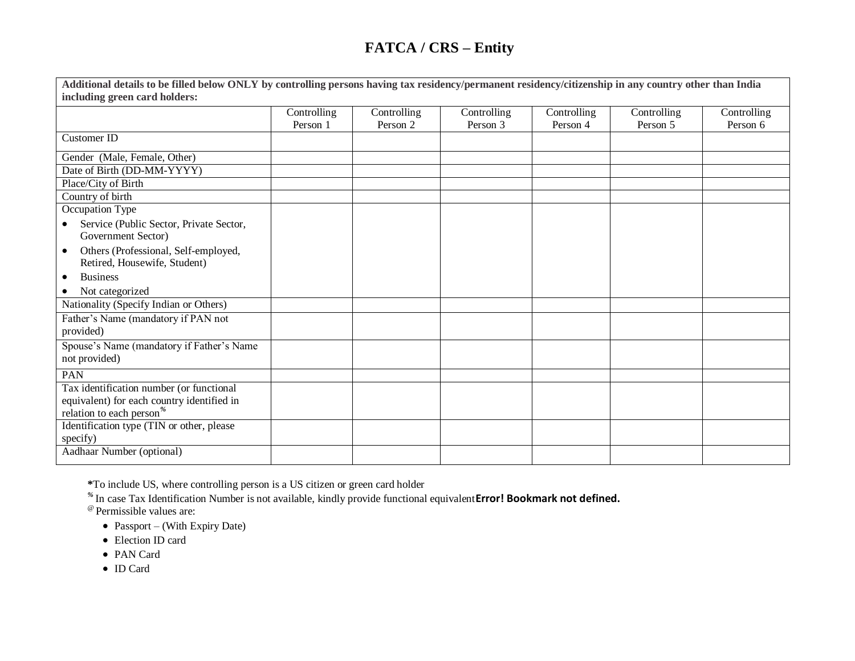| Additional details to be filled below ONLY by controlling persons having tax residency/permanent residency/citizenship in any country other than India |             |             |             |             |             |             |
|--------------------------------------------------------------------------------------------------------------------------------------------------------|-------------|-------------|-------------|-------------|-------------|-------------|
| including green card holders:                                                                                                                          |             |             |             |             |             |             |
|                                                                                                                                                        | Controlling | Controlling | Controlling | Controlling | Controlling | Controlling |
|                                                                                                                                                        | Person 1    | Person 2    | Person 3    | Person 4    | Person 5    | Person 6    |
| <b>Customer ID</b>                                                                                                                                     |             |             |             |             |             |             |
| Gender (Male, Female, Other)                                                                                                                           |             |             |             |             |             |             |
| Date of Birth (DD-MM-YYYY)                                                                                                                             |             |             |             |             |             |             |
| Place/City of Birth                                                                                                                                    |             |             |             |             |             |             |
| Country of birth                                                                                                                                       |             |             |             |             |             |             |
| Occupation Type                                                                                                                                        |             |             |             |             |             |             |
| Service (Public Sector, Private Sector,<br>$\bullet$<br>Government Sector)                                                                             |             |             |             |             |             |             |
| Others (Professional, Self-employed,<br>$\bullet$<br>Retired, Housewife, Student)                                                                      |             |             |             |             |             |             |
| <b>Business</b><br>$\bullet$                                                                                                                           |             |             |             |             |             |             |
| Not categorized                                                                                                                                        |             |             |             |             |             |             |
| Nationality (Specify Indian or Others)                                                                                                                 |             |             |             |             |             |             |
| Father's Name (mandatory if PAN not<br>provided)                                                                                                       |             |             |             |             |             |             |
| Spouse's Name (mandatory if Father's Name<br>not provided)                                                                                             |             |             |             |             |             |             |
| PAN                                                                                                                                                    |             |             |             |             |             |             |
| Tax identification number (or functional                                                                                                               |             |             |             |             |             |             |
| equivalent) for each country identified in                                                                                                             |             |             |             |             |             |             |
| relation to each person <sup>%</sup>                                                                                                                   |             |             |             |             |             |             |
| Identification type (TIN or other, please<br>specify)                                                                                                  |             |             |             |             |             |             |
| Aadhaar Number (optional)                                                                                                                              |             |             |             |             |             |             |

**\***To include US, where controlling person is a US citizen or green card holder *%* In case Tax Identification Number is not available, kindly provide functional equivalent**Error! Bookmark not defined.**

@ Permissible values are:

- Passport (With Expiry Date)
- Election ID card
- PAN Card
- ID Card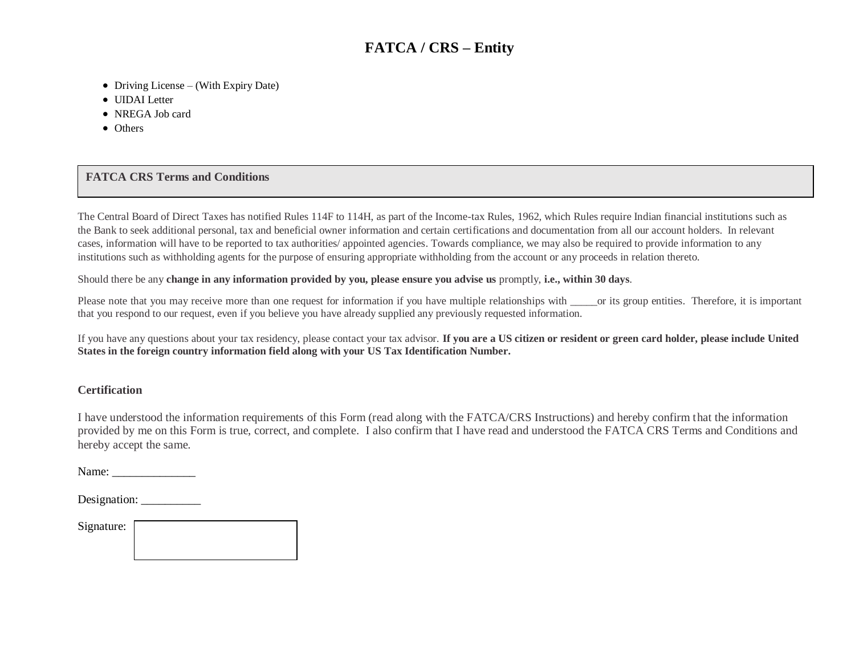- Driving License (With Expiry Date)
- UIDAI Letter
- NREGA Job card
- Others

#### **FATCA CRS Terms and Conditions**

The Central Board of Direct Taxes has notified Rules 114F to 114H, as part of the Income-tax Rules, 1962, which Rules require Indian financial institutions such as the Bank to seek additional personal, tax and beneficial owner information and certain certifications and documentation from all our account holders. In relevant cases, information will have to be reported to tax authorities/ appointed agencies. Towards compliance, we may also be required to provide information to any institutions such as withholding agents for the purpose of ensuring appropriate withholding from the account or any proceeds in relation thereto.

Should there be any **change in any information provided by you, please ensure you advise us** promptly, **i.e., within 30 days**.

Please note that you may receive more than one request for information if you have multiple relationships with \_\_\_\_\_or its group entities. Therefore, it is important that you respond to our request, even if you believe you have already supplied any previously requested information.

If you have any questions about your tax residency, please contact your tax advisor. **If you are a US citizen or resident or green card holder, please include United States in the foreign country information field along with your US Tax Identification Number.**

#### **Certification**

I have understood the information requirements of this Form (read along with the FATCA/CRS Instructions) and hereby confirm that the information provided by me on this Form is true, correct, and complete. I also confirm that I have read and understood the FATCA CRS Terms and Conditions and hereby accept the same.

Name: \_\_\_\_\_\_\_\_\_\_\_\_\_\_

Designation:

Signature: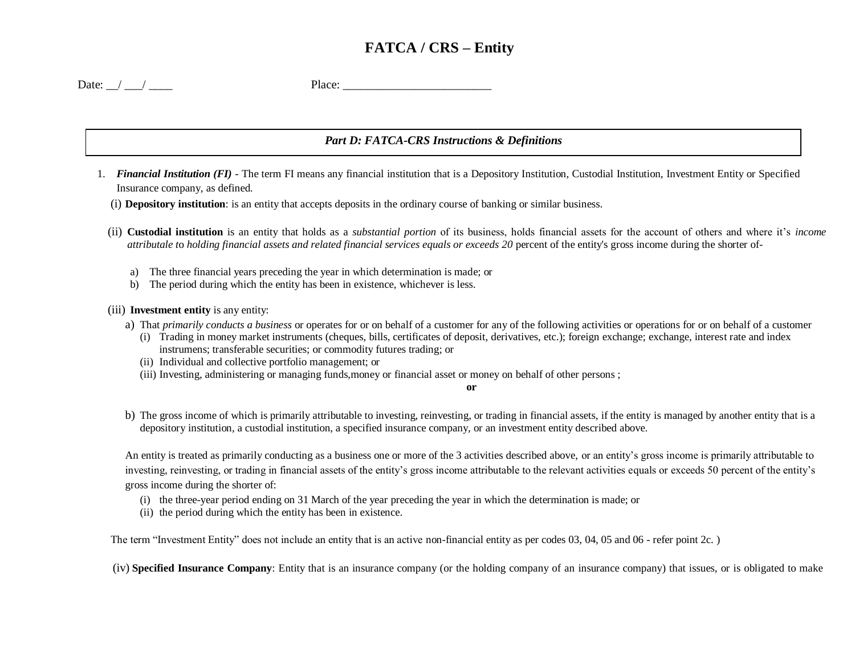| Date: | _____ | $-140x$<br>. |
|-------|-------|--------------|
|       |       |              |

#### *Part D: FATCA-CRS Instructions & Definitions*

- 1. *Financial Institution (FI)*  The term FI means any financial institution that is a Depository Institution, Custodial Institution, Investment Entity or Specified Insurance company, as defined.
	- (i) **Depository institution**: is an entity that accepts deposits in the ordinary course of banking or similar business.
	- (ii) **Custodial institution** is an entity that holds as a *substantial portion* of its business, holds financial assets for the account of others and where it's *income attributale t*o *holding financial assets and related financial services equals or exceeds 20* percent of the entity's gross income during the shorter of
		- a) The three financial years preceding the year in which determination is made; or
		- b) The period during which the entity has been in existence, whichever is less.

(iii) **Investment entity** is any entity:

- a) That *primarily conducts a business* or operates for or on behalf of a customer for any of the following activities or operations for or on behalf of a customer
	- (i) Trading in money market instruments (cheques, bills, certificates of deposit, derivatives, etc.); foreign exchange; exchange, interest rate and index instrumens; transferable securities; or commodity futures trading; or
	- (ii) Individual and collective portfolio management; or
	- (iii) Investing, administering or managing funds,money or financial asset or money on behalf of other persons ;

**or**

b) The gross income of which is primarily attributable to investing, reinvesting, or trading in financial assets, if the entity is managed by another entity that is a depository institution, a custodial institution, a specified insurance company, or an investment entity described above.

An entity is treated as primarily conducting as a business one or more of the 3 activities described above, or an entity's gross income is primarily attributable to investing, reinvesting, or trading in financial assets of the entity's gross income attributable to the relevant activities equals or exceeds 50 percent of the entity's gross income during the shorter of:

- (i) the three-year period ending on 31 March of the year preceding the year in which the determination is made; or
- (ii) the period during which the entity has been in existence.

The term "Investment Entity" does not include an entity that is an active non-financial entity as per codes 03, 04, 05 and 06 - refer point 2c.)

(iv) **Specified Insurance Company**: Entity that is an insurance company (or the holding company of an insurance company) that issues, or is obligated to make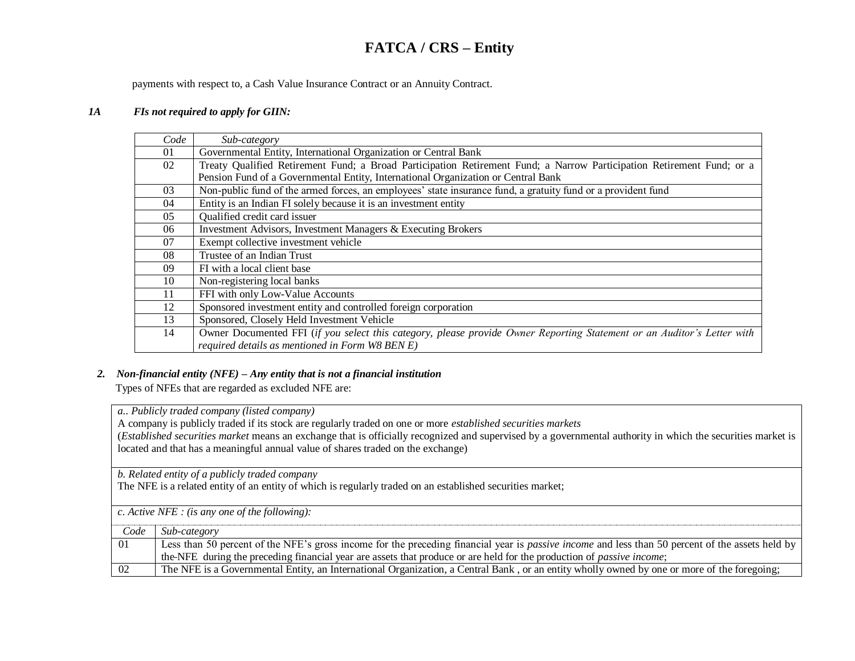payments with respect to, a Cash Value Insurance Contract or an Annuity Contract.

#### *1A FIs not required to apply for GIIN:*

| Code | Sub-category                                                                                                                                                               |
|------|----------------------------------------------------------------------------------------------------------------------------------------------------------------------------|
| 01   | Governmental Entity, International Organization or Central Bank                                                                                                            |
| 02   | Treaty Qualified Retirement Fund; a Broad Participation Retirement Fund; a Narrow Participation Retirement Fund; or a                                                      |
|      | Pension Fund of a Governmental Entity, International Organization or Central Bank                                                                                          |
| 03   | Non-public fund of the armed forces, an employees' state insurance fund, a gratuity fund or a provident fund                                                               |
| 04   | Entity is an Indian FI solely because it is an investment entity                                                                                                           |
| 05   | Qualified credit card issuer                                                                                                                                               |
| 06   | Investment Advisors, Investment Managers & Executing Brokers                                                                                                               |
| 07   | Exempt collective investment vehicle                                                                                                                                       |
| 08   | Trustee of an Indian Trust                                                                                                                                                 |
| 09   | FI with a local client base                                                                                                                                                |
| 10   | Non-registering local banks                                                                                                                                                |
| 11   | FFI with only Low-Value Accounts                                                                                                                                           |
| 12   | Sponsored investment entity and controlled foreign corporation                                                                                                             |
| 13   | Sponsored, Closely Held Investment Vehicle                                                                                                                                 |
| 14   | Owner Documented FFI (if you select this category, please provide Owner Reporting Statement or an Auditor's Letter with<br>required details as mentioned in Form W8 BEN E) |

#### *2. Non-financial entity (NFE) – Any entity that is not a financial institution*

Types of NFEs that are regarded as excluded NFE are:

a. *a.. Publicly traded company (listed company)*

A company is publicly traded if its stock are regularly traded on one or more *established securities markets*

(*Established securities market* means an exchange that is officially recognized and supervised by a governmental authority in which the securities market is located and that has a meaningful annual value of shares traded on the exchange)

b. *b. Related entity of a publicly traded company*

The NFE is a related entity of an entity of which is regularly traded on an established securities market;

c. *c. Active NFE : (is any one of the following):*

| Code | Sub-category                                                                                                                                            |
|------|---------------------------------------------------------------------------------------------------------------------------------------------------------|
| 01   | Less than 50 percent of the NFE's gross income for the preceding financial year is <i>passive income</i> and less than 50 percent of the assets held by |
|      | the-NFE during the preceding financial year are assets that produce or are held for the production of <i>passive income</i> ;                           |
| 02   | The NFE is a Governmental Entity, an International Organization, a Central Bank, or an entity wholly owned by one or more of the foregoing;             |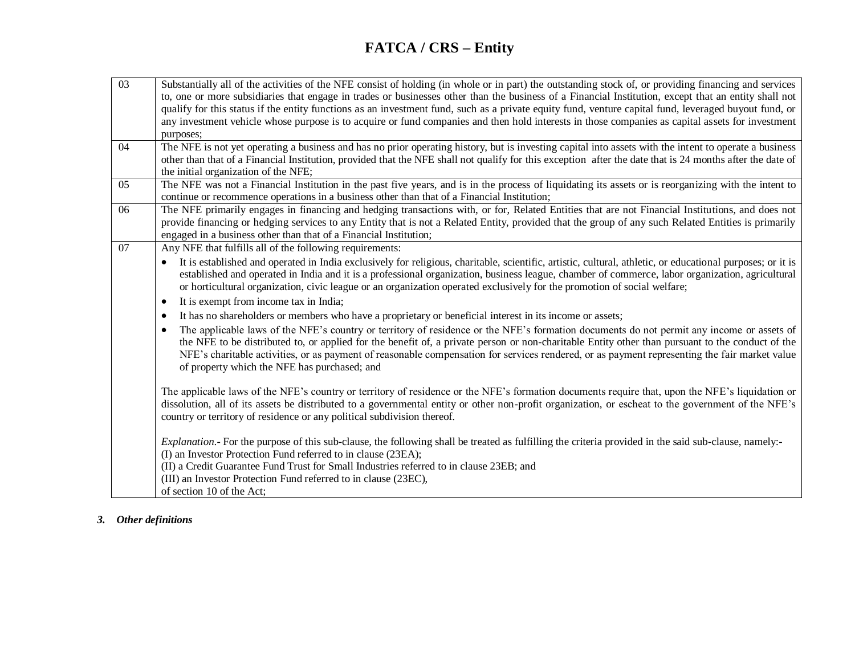| $\overline{03}$ | Substantially all of the activities of the NFE consist of holding (in whole or in part) the outstanding stock of, or providing financing and services      |
|-----------------|------------------------------------------------------------------------------------------------------------------------------------------------------------|
|                 | to, one or more subsidiaries that engage in trades or businesses other than the business of a Financial Institution, except that an entity shall not       |
|                 | qualify for this status if the entity functions as an investment fund, such as a private equity fund, venture capital fund, leveraged buyout fund, or      |
|                 | any investment vehicle whose purpose is to acquire or fund companies and then hold interests in those companies as capital assets for investment           |
|                 | purposes;                                                                                                                                                  |
| 04              | The NFE is not yet operating a business and has no prior operating history, but is investing capital into assets with the intent to operate a business     |
|                 | other than that of a Financial Institution, provided that the NFE shall not qualify for this exception after the date that is 24 months after the date of  |
|                 | the initial organization of the NFE;                                                                                                                       |
| $\overline{05}$ | The NFE was not a Financial Institution in the past five years, and is in the process of liquidating its assets or is reorganizing with the intent to      |
|                 | continue or recommence operations in a business other than that of a Financial Institution;                                                                |
| 06              | The NFE primarily engages in financing and hedging transactions with, or for, Related Entities that are not Financial Institutions, and does not           |
|                 | provide financing or hedging services to any Entity that is not a Related Entity, provided that the group of any such Related Entities is primarily        |
|                 | engaged in a business other than that of a Financial Institution;                                                                                          |
| 07              | Any NFE that fulfills all of the following requirements:                                                                                                   |
|                 | It is established and operated in India exclusively for religious, charitable, scientific, artistic, cultural, athletic, or educational purposes; or it is |
|                 | established and operated in India and it is a professional organization, business league, chamber of commerce, labor organization, agricultural            |
|                 | or horticultural organization, civic league or an organization operated exclusively for the promotion of social welfare;                                   |
|                 | It is exempt from income tax in India;<br>$\bullet$                                                                                                        |
|                 | It has no shareholders or members who have a proprietary or beneficial interest in its income or assets;<br>$\bullet$                                      |
|                 | The applicable laws of the NFE's country or territory of residence or the NFE's formation documents do not permit any income or assets of<br>$\bullet$     |
|                 | the NFE to be distributed to, or applied for the benefit of, a private person or non-charitable Entity other than pursuant to the conduct of the           |
|                 | NFE's charitable activities, or as payment of reasonable compensation for services rendered, or as payment representing the fair market value              |
|                 | of property which the NFE has purchased; and                                                                                                               |
|                 |                                                                                                                                                            |
|                 | The applicable laws of the NFE's country or territory of residence or the NFE's formation documents require that, upon the NFE's liquidation or            |
|                 | dissolution, all of its assets be distributed to a governmental entity or other non-profit organization, or escheat to the government of the NFE's         |
|                 | country or territory of residence or any political subdivision thereof.                                                                                    |
|                 | Explanation.- For the purpose of this sub-clause, the following shall be treated as fulfilling the criteria provided in the said sub-clause, namely:-      |
|                 | (I) an Investor Protection Fund referred to in clause (23EA);                                                                                              |
|                 | (II) a Credit Guarantee Fund Trust for Small Industries referred to in clause 23EB; and                                                                    |
|                 | (III) an Investor Protection Fund referred to in clause (23EC),                                                                                            |
|                 | of section 10 of the Act;                                                                                                                                  |

*3. Other definitions*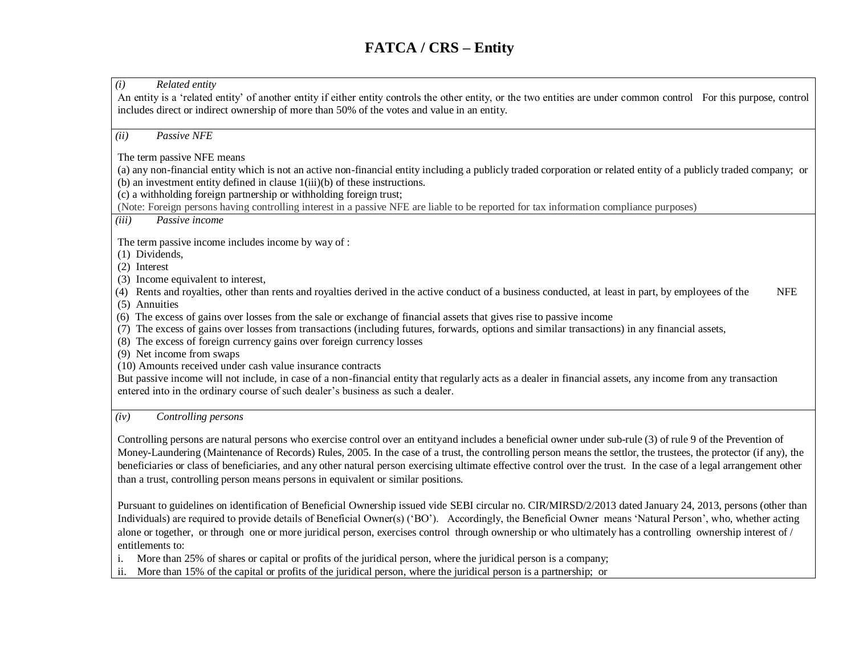*(i) Related entity* An entity is a 'related entity' of another entity if either entity controls the other entity, or the two entities are under common control For this purpose, control includes direct or indirect ownership of more than 50% of the votes and value in an entity. *(ii) Passive NFE*  The term passive NFE means (a) any non-financial entity which is not an active non-financial entity including a publicly traded corporation or related entity of a publicly traded company; or (b) an investment entity defined in clause 1(iii)(b) of these instructions. (c) a withholding foreign partnership or withholding foreign trust; (Note: Foreign persons having controlling interest in a passive NFE are liable to be reported for tax information compliance purposes) *(iii) Passive income* The term passive income includes income by way of : (1) Dividends, (2) Interest (3) Income equivalent to interest, (4) Rents and royalties, other than rents and royalties derived in the active conduct of a business conducted, at least in part, by employees of the NFE (5) Annuities (6) The excess of gains over losses from the sale or exchange of financial assets that gives rise to passive income (7) The excess of gains over losses from transactions (including futures, forwards, options and similar transactions) in any financial assets, (8) The excess of foreign currency gains over foreign currency losses (9) Net income from swaps (10) Amounts received under cash value insurance contracts But passive income will not include, in case of a non-financial entity that regularly acts as a dealer in financial assets, any income from any transaction entered into in the ordinary course of such dealer's business as such a dealer. *(iv) Controlling persons* Controlling persons are natural persons who exercise control over an entity and includes a beneficial owner under sub-rule (3) of rule 9 of the Prevention of Money-Laundering (Maintenance of Records) Rules, 2005. In the case of a trust, the controlling person means the settlor, the trustees, the protector (if any), the beneficiaries or class of beneficiaries, and any other natural person exercising ultimate effective control over the trust. In the case of a legal arrangement other than a trust, controlling person means persons in equivalent or similar positions.

Pursuant to guidelines on identification of Beneficial Ownership issued vide SEBI circular no. CIR/MIRSD/2/2013 dated January 24, 2013, persons (other than Individuals) are required to provide details of Beneficial Owner(s) ('BO'). Accordingly, the Beneficial Owner means 'Natural Person', who, whether acting alone or together, or through one or more juridical person, exercises control through ownership or who ultimately has a controlling ownership interest of / entitlements to:

i. More than 25% of shares or capital or profits of the juridical person, where the juridical person is a company;

ii. More than 15% of the capital or profits of the juridical person, where the juridical person is a partnership; or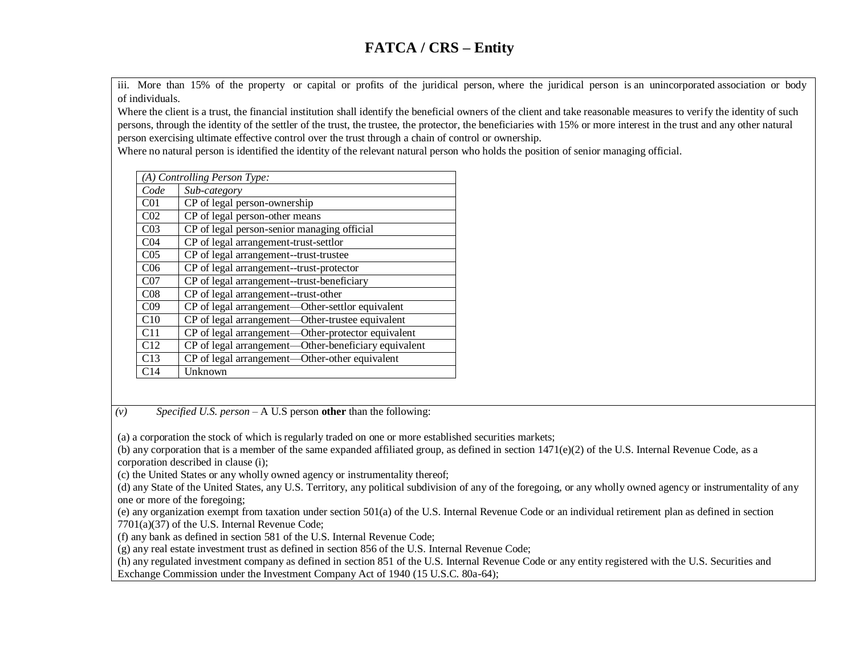iii. More than 15% of the property or capital or profits of the juridical person, where the juridical person is an unincorporated association or body of individuals.

Where the client is a trust, the financial institution shall identify the beneficial owners of the client and take reasonable measures to verify the identity of such persons, through the identity of the settler of the trust, the trustee, the protector, the beneficiaries with 15% or more interest in the trust and any other natural person exercising ultimate effective control over the trust through a chain of control or ownership.

Where no natural person is identified the identity of the relevant natural person who holds the position of senior managing official.

|                 | (A) Controlling Person Type:                         |  |  |
|-----------------|------------------------------------------------------|--|--|
| Code            | Sub-category                                         |  |  |
| C <sub>01</sub> | CP of legal person-ownership                         |  |  |
| CO <sub>2</sub> | CP of legal person-other means                       |  |  |
| CO <sub>3</sub> | CP of legal person-senior managing official          |  |  |
| CO <sub>4</sub> | CP of legal arrangement-trust-settlor                |  |  |
| CO <sub>5</sub> | CP of legal arrangement--trust-trustee               |  |  |
| C <sub>06</sub> | CP of legal arrangement--trust-protector             |  |  |
| CO <sub>7</sub> | CP of legal arrangement--trust-beneficiary           |  |  |
| CO8             | CP of legal arrangement--trust-other                 |  |  |
| CO9             | CP of legal arrangement—Other-settlor equivalent     |  |  |
| C10             | CP of legal arrangement—Other-trustee equivalent     |  |  |
| C11             | CP of legal arrangement—Other-protector equivalent   |  |  |
| C12             | CP of legal arrangement—Other-beneficiary equivalent |  |  |
| C13             | CP of legal arrangement—Other-other equivalent       |  |  |
| C14             | Unknown                                              |  |  |

*(v) Specified U.S. person –* A U.S person **other** than the following:

(a) a corporation the stock of which is regularly traded on one or more established securities markets;

(b) any corporation that is a member of the same expanded affiliated group, as defined in section  $1471(e)(2)$  of the U.S. Internal Revenue Code, as a corporation described in clause (i);

(c) the United States or any wholly owned agency or instrumentality thereof;

(d) any State of the United States, any U.S. Territory, any political subdivision of any of the foregoing, or any wholly owned agency or instrumentality of any one or more of the foregoing;

(e) any organization exempt from taxation under section 501(a) of the U.S. Internal Revenue Code or an individual retirement plan as defined in section 7701(a)(37) of the U.S. Internal Revenue Code;

(f) any bank as defined in section 581 of the U.S. Internal Revenue Code;

(g) any real estate investment trust as defined in section 856 of the U.S. Internal Revenue Code;

(h) any regulated investment company as defined in section 851 of the U.S. Internal Revenue Code or any entity registered with the U.S. Securities and Exchange Commission under the Investment Company Act of 1940 (15 U.S.C. 80a-64);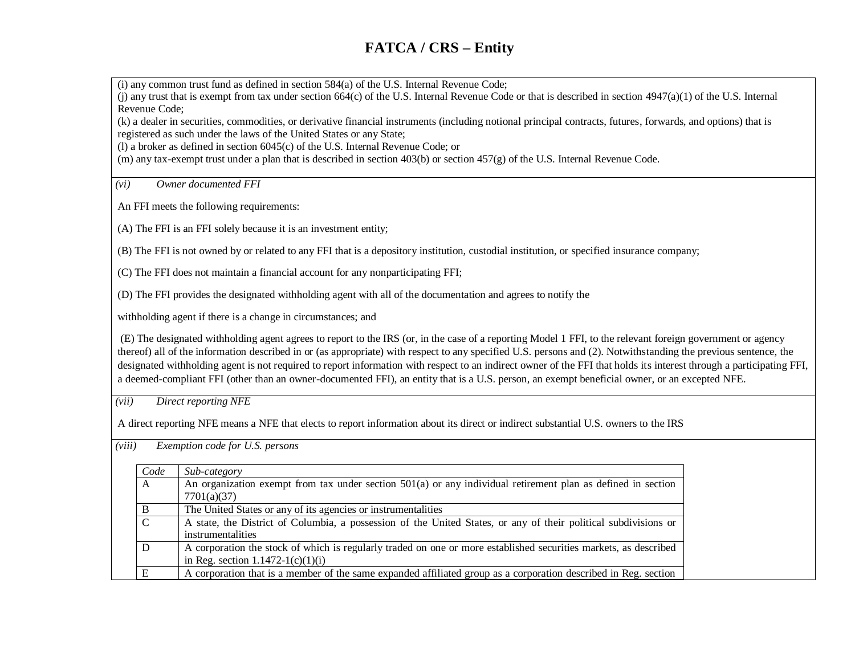(i) any common trust fund as defined in section 584(a) of the U.S. Internal Revenue Code;

(j) any trust that is exempt from tax under section  $664(c)$  of the U.S. Internal Revenue Code or that is described in section  $4947(a)(1)$  of the U.S. Internal Revenue Code;

(k) a dealer in securities, commodities, or derivative financial instruments (including notional principal contracts, futures, forwards, and options) that is registered as such under the laws of the United States or any State;

(l) a broker as defined in section 6045(c) of the U.S. Internal Revenue Code; or

(m) any tax-exempt trust under a plan that is described in section 403(b) or section 457(g) of the U.S. Internal Revenue Code.

*(vi) Owner documented FFI*

An FFI meets the following requirements:

(A) The FFI is an FFI solely because it is an investment entity;

(B) The FFI is not owned by or related to any FFI that is a depository institution, custodial institution, or specified insurance company;

(C) The FFI does not maintain a financial account for any nonparticipating FFI;

(D) The FFI provides the designated withholding agent with all of the documentation and agrees to notify the

withholding agent if there is a change in circumstances; and

(E) The designated withholding agent agrees to report to the IRS (or, in the case of a reporting Model 1 FFI, to the relevant foreign government or agency thereof) all of the information described in or (as appropriate) with respect to any specified U.S. persons and (2). Notwithstanding the previous sentence, the designated withholding agent is not required to report information with respect to an indirect owner of the FFI that holds its interest through a participating FFI, a deemed-compliant FFI (other than an owner-documented FFI), an entity that is a U.S. person, an exempt beneficial owner, or an excepted NFE.

*(vii) Direct reporting NFE*

A direct reporting NFE means a NFE that elects to report information about its direct or indirect substantial U.S. owners to the IRS

| Code          | Sub-category                                                                                                     |
|---------------|------------------------------------------------------------------------------------------------------------------|
| A             | An organization exempt from tax under section $501(a)$ or any individual retirement plan as defined in section   |
|               | 7701(a)(37)                                                                                                      |
| В             | The United States or any of its agencies or instrumentalities                                                    |
| $\mathcal{C}$ | A state, the District of Columbia, a possession of the United States, or any of their political subdivisions or  |
|               | instrumentalities                                                                                                |
| D             | A corporation the stock of which is regularly traded on one or more established securities markets, as described |
|               | in Reg. section $1.1472 - 1(c)(1)(i)$                                                                            |
|               | A corporation that is a member of the same expanded affiliated group as a corporation described in Reg. section  |

*(viii) Exemption code for U.S. persons*